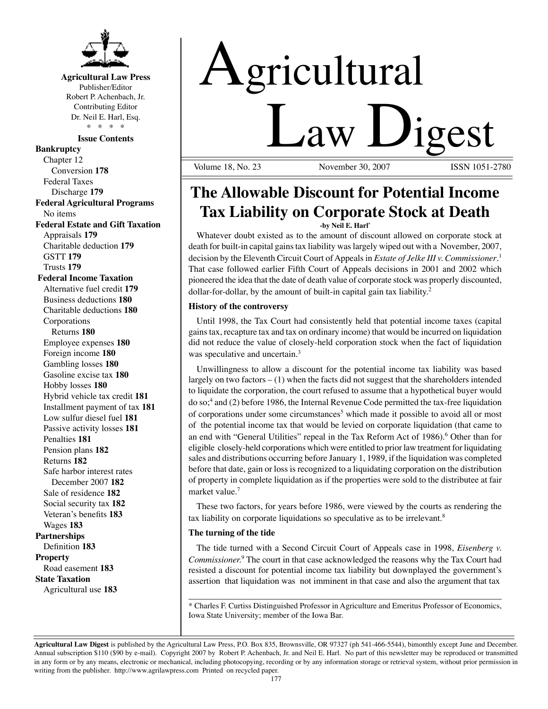

#### **Agricultural Law Press**

Publisher/Editor Robert P. Achenbach, Jr. Contributing Editor Dr. Neil E. Harl, Esq. \* \* \* \*

#### **Issue Contents**

**Bankruptcy** Chapter 12 Conversion **178** Federal Taxes Discharge **179 Federal Agricultural Programs** No items **Federal Estate and Gift Taxation** Appraisals **179** Charitable deduction **179** GSTT **179** Trusts **179 Federal Income Taxation** Alternative fuel credit **179** Business deductions **180** Charitable deductions **180** Corporations Returns **180** Employee expenses **180** Foreign income **180** Gambling losses **180** Gasoline excise tax **180** Hobby losses **180** Hybrid vehicle tax credit **181** Installment payment of tax **181** Low sulfur diesel fuel **181** Passive activity losses **181** Penalties **181** Pension plans **182** Returns **182** Safe harbor interest rates December 2007 **182** Sale of residence **182** Social security tax **182** Veteran's benefits **183** Wages **183 Partnerships** Definition **183 Property** Road easement **183 State Taxation** Agricultural use **183**

# Agricultural **Law Ligest**

November 30, 2007

# **The Allowable Discount for Potential Income Tax Liability on Corporate Stock at Death**

**-by Neil E. Harl\***

Whatever doubt existed as to the amount of discount allowed on corporate stock at death for built-in capital gains tax liability was largely wiped out with a November, 2007, decision by the Eleventh Circuit Court of Appeals in *Estate of Jelke III v. Commissioner*. 1 That case followed earlier Fifth Court of Appeals decisions in 2001 and 2002 which pioneered the idea that the date of death value of corporate stock was properly discounted, dollar-for-dollar, by the amount of built-in capital gain tax liability.<sup>2</sup>

#### **History of the controversy**

Until 1998, the Tax Court had consistently held that potential income taxes (capital gains tax, recapture tax and tax on ordinary income) that would be incurred on liquidation did not reduce the value of closely-held corporation stock when the fact of liquidation was speculative and uncertain.<sup>3</sup>

Unwillingness to allow a discount for the potential income tax liability was based largely on two factors – (1) when the facts did not suggest that the shareholders intended to liquidate the corporation, the court refused to assume that a hypothetical buyer would do so;<sup>4</sup> and (2) before 1986, the Internal Revenue Code permitted the tax-free liquidation of corporations under some circumstances<sup>5</sup> which made it possible to avoid all or most of the potential income tax that would be levied on corporate liquidation (that came to an end with "General Utilities" repeal in the Tax Reform Act of 1986).<sup>6</sup> Other than for eligible closely-held corporations which were entitled to prior law treatment for liquidating sales and distributions occurring before January 1, 1989, if the liquidation was completed before that date, gain or loss is recognized to a liquidating corporation on the distribution of property in complete liquidation as if the properties were sold to the distributee at fair market value.<sup>7</sup>

These two factors, for years before 1986, were viewed by the courts as rendering the tax liability on corporate liquidations so speculative as to be irrelevant.8

#### **The turning of the tide**

The tide turned with a Second Circuit Court of Appeals case in 1998, *Eisenberg v. Commissioner.*<sup>9</sup> The court in that case acknowledged the reasons why the Tax Court had resisted a discount for potential income tax liability but downplayed the government's assertion that liquidation was not imminent in that case and also the argument that tax

\_\_\_\_\_\_\_\_\_\_\_\_\_\_\_\_\_\_\_\_\_\_\_\_\_\_\_\_\_\_\_\_\_\_\_\_\_\_\_\_\_\_\_\_\_\_\_\_\_\_\_\_\_\_\_\_\_\_\_\_\_\_\_\_\_\_\_\_\_\_\_ \* Charles F. Curtiss Distinguished Professor in Agriculture and Emeritus Professor of Economics, Iowa State University; member of the Iowa Bar.

**Agricultural Law Digest** is published by the Agricultural Law Press, P.O. Box 835, Brownsville, OR 97327 (ph 541-466-5544), bimonthly except June and December. Annual subscription \$110 (\$90 by e-mail). Copyright 2007 by Robert P. Achenbach, Jr. and Neil E. Harl. No part of this newsletter may be reproduced or transmitted in any form or by any means, electronic or mechanical, including photocopying, recording or by any information storage or retrieval system, without prior permission in writing from the publisher. http://www.agrilawpress.com Printed on recycled paper.